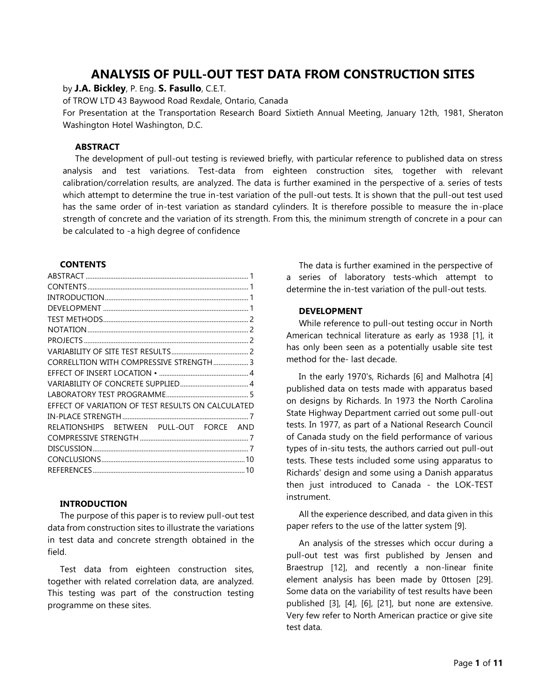# **ANALYSIS OF PULL-OUT TEST DATA FROM CONSTRUCTION SITES**

by **J.A. Bickley**, P. Eng. **S. Fasullo**, C.E.T.

of TROW LTD 43 Baywood Road Rexdale, Ontario, Canada

For Presentation at the Transportation Research Board Sixtieth Annual Meeting, January 12th, 1981, Sheraton Washington Hotel Washington, D.C.

## <span id="page-0-0"></span>**ABSTRACT**

The development of pull-out testing is reviewed briefly, with particular reference to published data on stress analysis and test variations. Test-data from eighteen construction sites, together with relevant calibration/correlation results, are analyzed. The data is further examined in the perspective of a. series of tests which attempt to determine the true in-test variation of the pull-out tests. It is shown that the pull-out test used has the same order of in-test variation as standard cylinders. It is therefore possible to measure the in-place strength of concrete and the variation of its strength. From this, the minimum strength of concrete in a pour can be calculated to -a high degree of confidence

# **CONTENTS**

<span id="page-0-1"></span>

| CORRELLTION WITH COMPRESSIVE STRENGTH  3          |
|---------------------------------------------------|
|                                                   |
|                                                   |
|                                                   |
| EFFECT OF VARIATION OF TEST RESULTS ON CALCULATED |
|                                                   |
| RELATIONSHIPS BETWEEN PULL-OUT FORCE AND          |
|                                                   |
|                                                   |
|                                                   |
|                                                   |

### <span id="page-0-2"></span>**INTRODUCTION**

The purpose of this paper is to review pull-out test data from construction sites to illustrate the variations in test data and concrete strength obtained in the field.

Test data from eighteen construction sites, together with related correlation data, are analyzed. This testing was part of the construction testing programme on these sites.

The data is further examined in the perspective of a series of laboratory tests-which attempt to determine the in-test variation of the pull-out tests.

# <span id="page-0-3"></span>**DEVELOPMENT**

While reference to pull-out testing occur in North American technical literature as early as 1938 [1], it has only been seen as a potentially usable site test method for the- last decade.

In the early 1970's, Richards [6] and Malhotra [4] published data on tests made with apparatus based on designs by Richards. In 1973 the North Carolina State Highway Department carried out some pull-out tests. In 1977, as part of a National Research Council of Canada study on the field performance of various types of in-situ tests, the authors carried out pull-out tests. These tests included some using apparatus to Richards' design and some using a Danish apparatus then just introduced to Canada - the LOK-TEST instrument.

All the experience described, and data given in this paper refers to the use of the latter system [9].

An analysis of the stresses which occur during a pull-out test was first published by Jensen and Braestrup [12], and recently a non-linear finite element analysis has been made by 0ttosen [29]. Some data on the variability of test results have been published [3], [4], [6], [21], but none are extensive. Very few refer to North American practice or give site test data.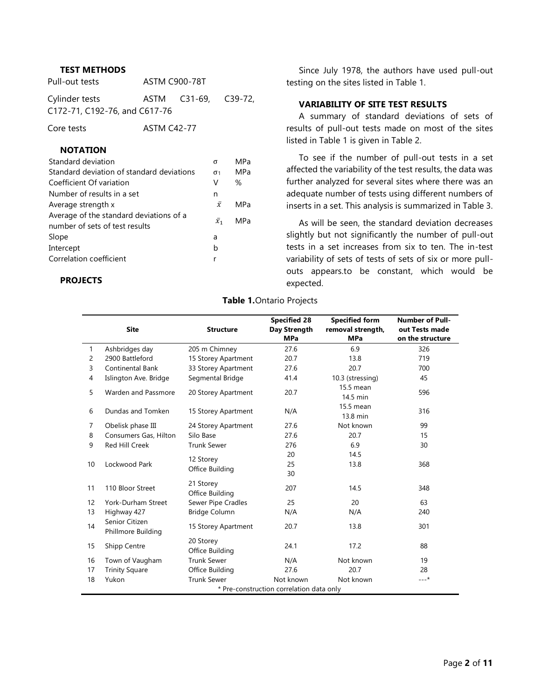# <span id="page-1-0"></span>**TEST METHODS**

| Pull-out tests | <b>ASTM C900-78T</b>      |
|----------------|---------------------------|
| $-1$           | $\sim$ $\sim$<br>$\cdots$ |

Cylinder tests ASTM C31-69, C39-72, C172-71, C192-76, and C617-76

Core tests **ASTM C42-77** 

# <span id="page-1-1"></span>**NOTATION**

| Standard deviation                                                        | σ                     | <b>MPa</b> |
|---------------------------------------------------------------------------|-----------------------|------------|
| Standard deviation of standard deviations                                 | $\sigma$ <sub>1</sub> | MPa        |
| Coefficient Of variation                                                  | v                     | %          |
| Number of results in a set                                                | n                     |            |
| Average strength x                                                        | $\bar{x}$             | MPa        |
| Average of the standard deviations of a<br>number of sets of test results | $\bar{x}_1$           | MPa        |
| Slope                                                                     | a                     |            |
| Intercept                                                                 | b                     |            |
| Correlation coefficient                                                   | r                     |            |
|                                                                           |                       |            |

### <span id="page-1-2"></span>**PROJECTS**

Since July 1978, the authors have used pull-out testing on the sites listed in Table 1.

# <span id="page-1-3"></span>**VARIABILITY OF SITE TEST RESULTS**

A summary of standard deviations of sets of results of pull-out tests made on most of the sites listed in Table 1 is given in Table 2.

To see if the number of pull-out tests in a set affected the variability of the test results, the data was further analyzed for several sites where there was an adequate number of tests using different numbers of inserts in a set. This analysis is summarized in Table 3.

As will be seen, the standard deviation decreases slightly but not significantly the number of pull-out tests in a set increases from six to ten. The in-test variability of sets of tests of sets of six or more pullouts appears.to be constant, which would be expected.

#### **Table 1.**Ontario Projects

|                | <b>Site</b>                          | <b>Structure</b>             | <b>Specified 28</b><br>Day Strength<br><b>MPa</b> | <b>Specified form</b><br>removal strength,<br><b>MPa</b> | <b>Number of Pull-</b><br>out Tests made<br>on the structure |
|----------------|--------------------------------------|------------------------------|---------------------------------------------------|----------------------------------------------------------|--------------------------------------------------------------|
| $\mathbf{1}$   | Ashbridges day                       | 205 m Chimney                | 27.6                                              | 6.9                                                      | 326                                                          |
| $\overline{2}$ | 2900 Battleford                      | 15 Storey Apartment          | 20.7                                              | 13.8                                                     | 719                                                          |
| 3              | <b>Continental Bank</b>              | 33 Storey Apartment          | 27.6                                              | 20.7                                                     | 700                                                          |
| 4              | Islington Ave. Bridge                | Segmental Bridge             | 41.4                                              | 10.3 (stressing)                                         | 45                                                           |
| 5              | Warden and Passmore                  | 20 Storey Apartment          | 20.7                                              | 15.5 mean<br>14.5 min                                    | 596                                                          |
| 6              | Dundas and Tomken                    | 15 Storey Apartment          | N/A                                               | 15.5 mean<br>13.8 min                                    | 316                                                          |
| $\overline{7}$ | Obelisk phase III                    | 24 Storey Apartment          | 27.6                                              | Not known                                                | 99                                                           |
| 8              | Consumers Gas, Hilton                | Silo Base                    | 27.6                                              | 20.7                                                     | 15                                                           |
| 9              | Red Hill Creek                       | <b>Trunk Sewer</b>           | 276                                               | 6.9                                                      | 30                                                           |
|                |                                      |                              | 20                                                | 14.5                                                     |                                                              |
| 10             | Lockwood Park                        | 12 Storey                    | 25                                                | 13.8                                                     | 368                                                          |
|                |                                      | Office Building              | 30                                                |                                                          |                                                              |
| 11             | 110 Bloor Street                     | 21 Storey<br>Office Building | 207                                               | 14.5                                                     | 348                                                          |
| 12             | York-Durham Street                   | Sewer Pipe Cradles           | 25                                                | 20                                                       | 63                                                           |
| 13             | Highway 427                          | Bridge Column                | N/A                                               | N/A                                                      | 240                                                          |
| 14             | Senior Citizen<br>Phillmore Building | 15 Storey Apartment          | 20.7                                              | 13.8                                                     | 301                                                          |
| 15             | Shipp Centre                         | 20 Storey<br>Office Building | 24.1                                              | 17.2                                                     | 88                                                           |
| 16             | Town of Vaugham                      | <b>Trunk Sewer</b>           | N/A                                               | Not known                                                | 19                                                           |
| 17             | <b>Trinity Square</b>                | Office Building              | 27.6                                              | 20.7                                                     | 28                                                           |
| 18             | Yukon                                | <b>Trunk Sewer</b>           | Not known                                         | Not known                                                | $---*$                                                       |
|                |                                      |                              | * Pre-construction correlation data only          |                                                          |                                                              |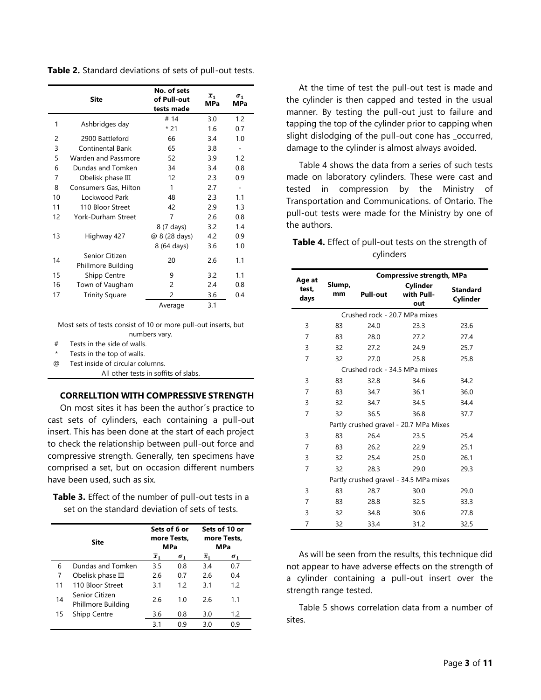**Table 2.** Standard deviations of sets of pull-out tests.

|    | <b>Site</b>                          | No. of sets<br>of Pull-out<br>tests made | $\overline{x}_1$<br><b>MPa</b> | $\sigma_{1}$<br><b>MPa</b> |
|----|--------------------------------------|------------------------------------------|--------------------------------|----------------------------|
| 1  | Ashbridges day                       | # 14                                     | 3.0                            | 1.2                        |
|    |                                      | $*21$                                    | 1.6                            | 0.7                        |
| 2  | 2900 Battleford                      | 66                                       | 3.4                            | 1.0                        |
| 3  | Continental Bank                     | 65                                       | 3.8                            | $\overline{\phantom{a}}$   |
| 5  | Warden and Passmore                  | 52                                       | 3.9                            | 1.2                        |
| 6  | Dundas and Tomken                    | 34                                       | 3.4                            | 0.8                        |
| 7  | Obelisk phase III                    | 12                                       | 2.3                            | 0.9                        |
| 8  | Consumers Gas, Hilton                | 1                                        | 2.7                            |                            |
| 10 | Lockwood Park                        | 48                                       | 2.3                            | 1.1                        |
| 11 | 110 Bloor Street                     | 42                                       | 2.9                            | 1.3                        |
| 12 | York-Durham Street                   | 7                                        | 2.6                            | 0.8                        |
|    |                                      | 8 (7 days)                               | 3.2                            | 1.4                        |
| 13 | Highway 427                          | @ 8 (28 days)                            | 4.2                            | 0.9                        |
|    |                                      | 8 (64 days)                              | 3.6                            | 1.0                        |
| 14 | Senior Citizen<br>Phillmore Building | 20                                       | 2.6                            | 1.1                        |
| 15 | Shipp Centre                         | 9                                        | 3.2                            | 1.1                        |
| 16 | Town of Vaugham                      | 2                                        | 2.4                            | 0.8                        |
| 17 | <b>Trinity Square</b>                | 2                                        | 3.6                            | 0.4                        |
|    |                                      | Average                                  | 3.1                            |                            |

Most sets of tests consist of 10 or more pull-out inserts, but numbers vary.

# Tests in the side of walls.

Tests in the top of walls.

@ Test inside of circular columns.

All other tests in soffits of slabs.

# <span id="page-2-0"></span>**CORRELLTION WITH COMPRESSIVE STRENGTH**

On most sites it has been the author´s practice to cast sets of cylinders, each containing a pull-out insert. This has been done at the start of each project to check the relationship between pull-out force and compressive strength. Generally, ten specimens have comprised a set, but on occasion different numbers have been used, such as six.

**Table 3.** Effect of the number of pull-out tests in a set on the standard deviation of sets of tests.

| Site |                                      |                  | Sets of 6 or<br>more Tests,<br><b>MPa</b> | Sets of 10 or<br>more Tests,<br><b>MPa</b> |              |
|------|--------------------------------------|------------------|-------------------------------------------|--------------------------------------------|--------------|
|      |                                      | $\overline{x}_1$ | $\sigma_{1}$                              | $\overline{x}_1$                           | $\sigma_{1}$ |
| 6    | Dundas and Tomken                    | 3.5              | 0.8                                       | 3.4                                        | 0.7          |
| 7    | Obelisk phase III                    | 2.6              | 0.7                                       | 2.6                                        | 0.4          |
| 11   | 110 Bloor Street                     | 3.1              | 12                                        | 3.1                                        | 1.2          |
| 14   | Senior Citizen<br>Phillmore Building | 2.6              | 1.0                                       | 2.6                                        | 1.1          |
| 15   | <b>Shipp Centre</b>                  | 3.6              | 0.8                                       | 3.0                                        | 1.2          |
|      |                                      | 3.1              | 0 ዓ                                       | 3.0                                        | 0.9          |

At the time of test the pull-out test is made and the cylinder is then capped and tested in the usual manner. By testing the pull-out just to failure and tapping the top of the cylinder prior to capping when slight dislodging of the pull-out cone has \_occurred, damage to the cylinder is almost always avoided.

Table 4 shows the data from a series of such tests made on laboratory cylinders. These were cast and tested in compression by the Ministry of Transportation and Communications. of Ontario. The pull-out tests were made for the Ministry by one of the authors.

| Table 4. Effect of pull-out tests on the strength of |           |  |  |  |
|------------------------------------------------------|-----------|--|--|--|
|                                                      | cylinders |  |  |  |

| Age at         |                               | <b>Compressive strength, MPa</b> |                                        |                             |  |  |
|----------------|-------------------------------|----------------------------------|----------------------------------------|-----------------------------|--|--|
| test,<br>days  | Slump,<br>mm                  | <b>Pull-out</b>                  | Cylinder<br>with Pull-<br>out          | <b>Standard</b><br>Cylinder |  |  |
|                | Crushed rock - 20.7 MPa mixes |                                  |                                        |                             |  |  |
| 3              | 83                            | 24.0                             | 23.3                                   | 23.6                        |  |  |
| $\overline{7}$ | 83                            | 28.0                             | 27.2                                   | 27.4                        |  |  |
| 3              | 32                            | 27.2                             | 24.9                                   | 25.7                        |  |  |
| $\overline{7}$ | 32                            | 27.0                             | 25.8                                   | 25.8                        |  |  |
|                |                               |                                  | Crushed rock - 34.5 MPa mixes          |                             |  |  |
| 3              | 83                            | 32.8<br>34.6                     |                                        | 34.2                        |  |  |
| 7              | 83                            | 34.7                             | 36.1                                   | 36.0                        |  |  |
| 3              | 32<br>34.7<br>34.5            |                                  |                                        | 34.4                        |  |  |
| 7              | 32                            | 36.5                             | 36.8                                   | 37.7                        |  |  |
|                |                               |                                  | Partly crushed gravel - 20.7 MPa Mixes |                             |  |  |
| 3              | 83                            | 26.4                             | 23.5                                   | 25.4                        |  |  |
| $\overline{7}$ | 83                            | 26.2                             | 22.9                                   | 25.1                        |  |  |
| 3              | 32                            | 25.4                             | 25.0                                   | 26.1                        |  |  |
| 7              | 32                            | 28.3                             | 29.0                                   | 29.3                        |  |  |
|                |                               |                                  | Partly crushed gravel - 34.5 MPa mixes |                             |  |  |
| 3              | 83                            | 28.7                             | 30.0                                   | 29.0                        |  |  |
| $\overline{7}$ | 83                            | 28.8                             | 32.5                                   | 33.3                        |  |  |
| 3              | 32                            | 34.8                             | 30.6                                   | 27.8                        |  |  |
| 7              | 32                            | 33.4                             | 31.2                                   | 32.5                        |  |  |

As will be seen from the results, this technique did not appear to have adverse effects on the strength of a cylinder containing a pull-out insert over the strength range tested.

Table 5 shows correlation data from a number of sites.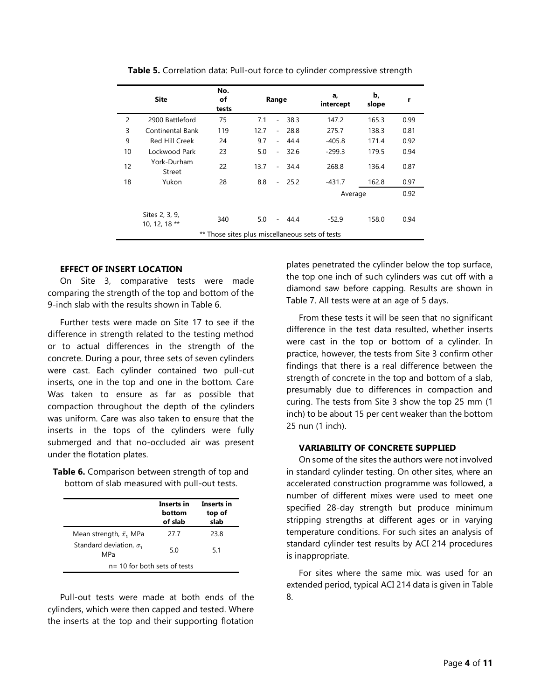|    | <b>Site</b>                                     | No.<br>of<br>tests |      | Range                    |      | a,<br>intercept | b,<br>slope | r    |
|----|-------------------------------------------------|--------------------|------|--------------------------|------|-----------------|-------------|------|
| 2  | 2900 Battleford                                 | 75                 | 7.1  | $\overline{\phantom{a}}$ | 38.3 | 147.2           | 165.3       | 0.99 |
| 3  | Continental Bank                                | 119                | 12.7 | $\overline{\phantom{a}}$ | 28.8 | 275.7           | 138.3       | 0.81 |
| 9  | Red Hill Creek                                  | 24                 | 9.7  | $\overline{\phantom{a}}$ | 44.4 | $-405.8$        | 171.4       | 0.92 |
| 10 | Lockwood Park                                   | 23                 | 5.0  | $\overline{\phantom{a}}$ | 32.6 | $-299.3$        | 179.5       | 0.94 |
| 12 | York-Durham<br>Street                           | 22                 | 13.7 | $\sim$                   | 34.4 | 268.8           | 136.4       | 0.87 |
| 18 | Yukon                                           | 28                 | 8.8  | $\sim$                   | 25.2 | $-431.7$        | 162.8       | 0.97 |
|    |                                                 |                    |      |                          |      | Average         |             | 0.92 |
|    | Sites 2, 3, 9,<br>10, 12, 18 **                 | 340                | 5.0  | $\sim$                   | 44.4 | $-52.9$         | 158.0       | 0.94 |
|    | ** Those sites plus miscellaneous sets of tests |                    |      |                          |      |                 |             |      |

**Table 5.** Correlation data: Pull-out force to cylinder compressive strength

# <span id="page-3-0"></span>**EFFECT OF INSERT LOCATION**

On Site 3, comparative tests were made comparing the strength of the top and bottom of the 9-inch slab with the results shown in Table 6.

Further tests were made on Site 17 to see if the difference in strength related to the testing method or to actual differences in the strength of the concrete. During a pour, three sets of seven cylinders were cast. Each cylinder contained two pull-cut inserts, one in the top and one in the bottom. Care Was taken to ensure as far as possible that compaction throughout the depth of the cylinders was uniform. Care was also taken to ensure that the inserts in the tops of the cylinders were fully submerged and that no-occluded air was present under the flotation plates.

**Table 6.** Comparison between strength of top and bottom of slab measured with pull-out tests.

|                                       | Inserts in<br>hottom<br>of slab | Inserts in<br>top of<br>slab |
|---------------------------------------|---------------------------------|------------------------------|
| Mean strength, $\bar{x}_1$ MPa        | 27 7                            | 23.8                         |
| Standard deviation, $\sigma_1$<br>MPa | 5.0                             | -51                          |
|                                       | $n = 10$ for both sets of tests |                              |

Pull-out tests were made at both ends of the cylinders, which were then capped and tested. Where the inserts at the top and their supporting flotation plates penetrated the cylinder below the top surface, the top one inch of such cylinders was cut off with a diamond saw before capping. Results are shown in Table 7. All tests were at an age of 5 days.

From these tests it will be seen that no significant difference in the test data resulted, whether inserts were cast in the top or bottom of a cylinder. In practice, however, the tests from Site 3 confirm other findings that there is a real difference between the strength of concrete in the top and bottom of a slab, presumably due to differences in compaction and curing. The tests from Site 3 show the top 25 mm (1 inch) to be about 15 per cent weaker than the bottom 25 nun (1 inch).

### <span id="page-3-1"></span>**VARIABILITY OF CONCRETE SUPPLIED**

On some of the sites the authors were not involved in standard cylinder testing. On other sites, where an accelerated construction programme was followed, a number of different mixes were used to meet one specified 28-day strength but produce minimum stripping strengths at different ages or in varying temperature conditions. For such sites an analysis of standard cylinder test results by ACI 214 procedures is inappropriate.

For sites where the same mix. was used for an extended period, typical ACI 214 data is given in Table 8.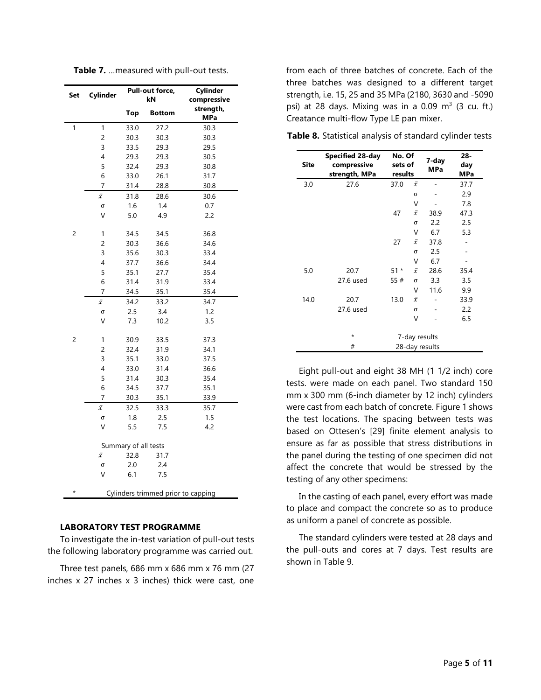| Table 7.  measured with pull-out tests. |  |  |  |
|-----------------------------------------|--|--|--|
|-----------------------------------------|--|--|--|

| Set            | Cylinder            | Pull-out force,      |                                    | Cylinder                |
|----------------|---------------------|----------------------|------------------------------------|-------------------------|
|                |                     |                      | kN                                 | compressive             |
|                |                     | <b>Top</b>           | <b>Bottom</b>                      | strength,<br><b>MPa</b> |
| 1              | 1                   | 33.0                 | 27.2                               | 30.3                    |
|                | $\overline{c}$      | 30.3                 | 30.3                               | 30.3                    |
|                | $\overline{3}$      | 33.5                 | 29.3                               | 29.5                    |
|                | 4                   | 29.3                 | 29.3                               | 30.5                    |
|                | 5                   | 32.4                 | 29.3                               | 30.8                    |
|                | 6                   | 33.0                 | 26.1                               | 31.7                    |
|                | 7                   | 31.4                 | 28.8                               | 30.8                    |
|                | $\bar{\chi}$        | 31.8                 | 28.6                               | 30.6                    |
|                | σ                   | 1.6                  | 1.4                                | 0.7                     |
|                | V                   | 5.0                  | 4.9                                | 2.2                     |
| 2              | 1                   | 34.5                 | 34.5                               | 36.8                    |
|                | $\overline{c}$      | 30.3                 | 36.6                               | 34.6                    |
|                | 3                   | 35.6                 | 30.3                               | 33.4                    |
|                | 4                   | 37.7                 | 36.6                               | 34.4                    |
|                | 5                   | 35.1                 | 27.7                               | 35.4                    |
|                | 6                   | 31.4                 | 31.9                               | 33.4                    |
|                | 7                   | 34.5                 | 35.1                               | 35.4                    |
|                | $\bar{\mathcal{X}}$ | 34.2                 | 33.2                               | 34.7                    |
|                | σ                   | 2.5                  | 3.4                                | 1.2                     |
|                | V                   | 7.3                  | 10.2                               | 3.5                     |
| $\overline{c}$ | 1                   | 30.9                 | 33.5                               | 37.3                    |
|                | $\overline{c}$      | 32.4                 | 31.9                               | 34.1                    |
|                | 3                   | 35.1                 | 33.0                               | 37.5                    |
|                | 4                   | 33.0                 | 31.4                               | 36.6                    |
|                | 5                   | 31.4                 | 30.3                               | 35.4                    |
|                | 6                   | 34.5                 | 37.7                               | 35.1                    |
|                | 7                   | 30.3                 | 35.1                               | 33.9                    |
|                | $\bar{x}$           | 32.5                 | 33.3                               | 35.7                    |
|                | σ                   | 1.8                  | 2.5                                | 1.5                     |
|                | V                   | 5.5                  | 7.5                                | 4.2                     |
|                |                     | Summary of all tests |                                    |                         |
|                | $\bar{\mathcal{X}}$ | 32.8                 | 31.7                               |                         |
|                | σ                   | 2.0                  | 2.4                                |                         |
|                | V                   | 6.1                  | 7.5                                |                         |
| $\star$        |                     |                      | Cylinders trimmed prior to capping |                         |

### <span id="page-4-0"></span>**LABORATORY TEST PROGRAMME**

To investigate the in-test variation of pull-out tests the following laboratory programme was carried out.

Three test panels,  $686$  mm x  $686$  mm x  $76$  mm (27) inches x 27 inches x 3 inches) thick were cast, one from each of three batches of concrete. Each of the three batches was designed to a different target strength, i.e. 15, 25 and 35 MPa (2180, 3630 and -5090 psi) at 28 days. Mixing was in a 0.09  $m^3$  (3 cu. ft.) Creatance multi-flow Type LE pan mixer.

| <b>Site</b> | <b>Specified 28-day</b><br>compressive<br>strength, MPa | No. Of<br>sets of<br>results |              | 7-day<br><b>MPa</b> | 28-<br>day<br>MPa |
|-------------|---------------------------------------------------------|------------------------------|--------------|---------------------|-------------------|
| 3.0         | 27.6                                                    | 37.0                         | $\bar{x}$    |                     | 37.7              |
|             |                                                         |                              | σ            |                     | 2.9               |
|             |                                                         |                              | V            |                     | 7.8               |
|             |                                                         | 47                           | $\bar{\chi}$ | 38.9                | 47.3              |
|             |                                                         |                              | σ            | 2.2                 | 2.5               |
|             |                                                         |                              | ٧            | 6.7                 | 5.3               |
|             |                                                         | 27                           | $\bar{x}$    | 37.8                |                   |
|             |                                                         |                              | σ            | 2.5                 |                   |
|             |                                                         |                              | V            | 6.7                 |                   |
| 5.0         | 20.7                                                    | $51*$                        | $\bar{x}$    | 28.6                | 35.4              |
|             | 27.6 used                                               | 55#                          | σ            | 3.3                 | 3.5               |
|             |                                                         |                              | V            | 11.6                | 9.9               |
| 14.0        | 20.7                                                    | 13.0                         | $\bar{x}$    |                     | 33.9              |
|             | 27.6 used                                               |                              | $\sigma$     |                     | 2.2               |
|             |                                                         |                              | ٧            |                     | 6.5               |
|             | $^\star$                                                | 7-day results                |              |                     |                   |
|             | #                                                       | 28-day results               |              |                     |                   |

**Table 8.** Statistical analysis of standard cylinder tests

Eight pull-out and eight 38 MH (1 1/2 inch) core tests. were made on each panel. Two standard 150 mm x 300 mm (6-inch diameter by 12 inch) cylinders were cast from each batch of concrete. Figure 1 shows the test locations. The spacing between tests was based on Ottesen's [29] finite element analysis to ensure as far as possible that stress distributions in the panel during the testing of one specimen did not affect the concrete that would be stressed by the testing of any other specimens:

In the casting of each panel, every effort was made to place and compact the concrete so as to produce as uniform a panel of concrete as possible.

The standard cylinders were tested at 28 days and the pull-outs and cores at 7 days. Test results are shown in Table 9.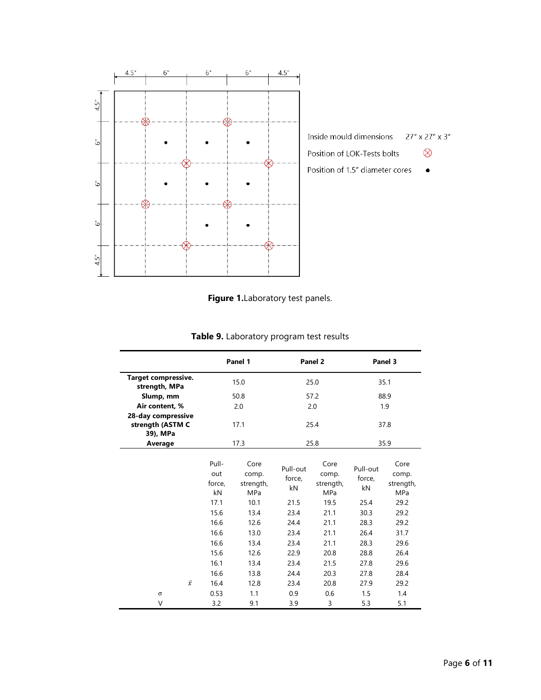



|                                             | Panel 1                                                      |                                                                   | Panel 2                                                  |                                                                          | Panel 3                                                  |                                                                   |
|---------------------------------------------|--------------------------------------------------------------|-------------------------------------------------------------------|----------------------------------------------------------|--------------------------------------------------------------------------|----------------------------------------------------------|-------------------------------------------------------------------|
| <b>Target compressive.</b><br>strength, MPa |                                                              | 15.0                                                              |                                                          | 25.0                                                                     |                                                          | 35.1                                                              |
| Slump, mm                                   |                                                              | 50.8                                                              |                                                          | 57.2                                                                     |                                                          | 88.9                                                              |
| Air content, %                              |                                                              | 2.0                                                               | 2.0                                                      |                                                                          | 1.9                                                      |                                                                   |
| 28-day compressive                          |                                                              |                                                                   |                                                          |                                                                          |                                                          |                                                                   |
| strength (ASTM C                            |                                                              | 17.1                                                              |                                                          | 25.4                                                                     |                                                          | 37.8                                                              |
| 39), MPa                                    |                                                              |                                                                   |                                                          |                                                                          |                                                          |                                                                   |
| Average                                     |                                                              | 17.3                                                              |                                                          | 25.8                                                                     |                                                          | 35.9                                                              |
|                                             | Pull-<br>out<br>force,<br>kN<br>17.1<br>15.6<br>16.6<br>16.6 | Core<br>comp.<br>strength,<br>MPa<br>10.1<br>13.4<br>12.6<br>13.0 | Pull-out<br>force,<br>kN<br>21.5<br>23.4<br>24.4<br>23.4 | Core<br>comp.<br>strength,<br><b>MPa</b><br>19.5<br>21.1<br>21.1<br>21.1 | Pull-out<br>force,<br>kN<br>25.4<br>30.3<br>28.3<br>26.4 | Core<br>comp.<br>strength,<br>MPa<br>29.2<br>29.2<br>29.2<br>31.7 |
|                                             | 16.6                                                         | 13.4                                                              | 23.4                                                     | 21.1                                                                     | 28.3                                                     | 29.6                                                              |
|                                             | 15.6                                                         | 12.6                                                              | 22.9                                                     | 20.8                                                                     | 28.8                                                     | 26.4                                                              |
|                                             | 16.1                                                         | 13.4                                                              | 23.4                                                     | 21.5                                                                     | 27.8                                                     | 29.6                                                              |
|                                             | 16.6                                                         | 13.8                                                              | 24.4                                                     | 20.3                                                                     | 27.8                                                     | 28.4                                                              |
| $\bar{x}$                                   | 16.4                                                         | 12.8                                                              | 23.4                                                     | 20.8                                                                     | 27.9                                                     | 29.2                                                              |
| $\sigma$                                    | 0.53                                                         | 1.1                                                               | 0.9                                                      | 0.6                                                                      | 1.5                                                      | 1.4                                                               |
| V                                           | 3.2                                                          | 9.1                                                               | 3.9                                                      | 3                                                                        | 5.3                                                      | 5.1                                                               |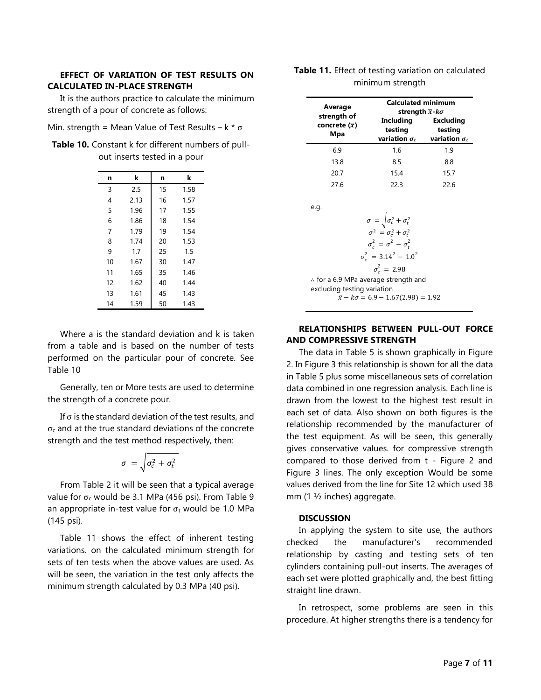## <span id="page-6-0"></span>**EFFECT OF VARIATION OF TEST RESULTS ON CALCULATED IN-PLACE STRENGTH**

It is the authors practice to calculate the minimum strength of a pour of concrete as follows:

| Min. strength = Mean Value of Test Results - $k * \sigma$ |  |  |  |  |  |  |
|-----------------------------------------------------------|--|--|--|--|--|--|
|-----------------------------------------------------------|--|--|--|--|--|--|

**Table 10.** Constant k for different numbers of pullout inserts tested in a pour

| n  | k    | n  | k    |
|----|------|----|------|
| 3  | 2.5  | 15 | 1.58 |
| 4  | 2.13 | 16 | 1.57 |
| 5  | 1.96 | 17 | 1.55 |
| 6  | 1.86 | 18 | 1.54 |
| 7  | 1.79 | 19 | 1.54 |
| 8  | 1.74 | 20 | 1.53 |
| 9  | 1.7  | 25 | 1.5  |
| 10 | 1.67 | 30 | 1.47 |
| 11 | 1.65 | 35 | 1.46 |
| 12 | 1.62 | 40 | 1.44 |
| 13 | 1.61 | 45 | 1.43 |
| 14 | 1.59 | 50 | 1.43 |

Where a is the standard deviation and k is taken from a table and is based on the number of tests performed on the particular pour of concrete. See Table 10

Generally, ten or More tests are used to determine the strength of a concrete pour.

If  $\sigma$  is the standard deviation of the test results, and  $\sigma_c$  and at the true standard deviations of the concrete strength and the test method respectively, then:

$$
\sigma = \sqrt{\sigma_c^2 + \sigma_t^2}
$$

From Table 2 it will be seen that a typical average value for  $σ<sub>c</sub>$  would be 3.1 MPa (456 psi). From Table 9 an appropriate in-test value for  $\sigma_t$  would be 1.0 MPa (145 psi).

Table 11 shows the effect of inherent testing variations. on the calculated minimum strength for sets of ten tests when the above values are used. As will be seen, the variation in the test only affects the minimum strength calculated by 0.3 MPa (40 psi).

|  | Table 11. Effect of testing variation on calculated |  |
|--|-----------------------------------------------------|--|
|  | minimum strength                                    |  |

| Average<br>strength of           | <b>Calculated minimum</b><br>strength $\overline{x}$ - $k\sigma$ |                                                     |  |  |
|----------------------------------|------------------------------------------------------------------|-----------------------------------------------------|--|--|
| concrete $(\overline{x})$<br>Mpa | Including<br>testing<br>variation $\sigma_t$                     | <b>Excluding</b><br>testing<br>variation $\sigma_t$ |  |  |
| 6.9                              | 1.6                                                              | 1.9                                                 |  |  |
| 13.8                             | 8.5                                                              | 8.8                                                 |  |  |
| 20.7                             | 15.4                                                             | 15.7                                                |  |  |
| 276                              | 22 3                                                             | 226                                                 |  |  |

e.g.

 $\sigma = \sqrt{\sigma_c^2 + \sigma_t^2}$  $\sigma^2 = \sigma_c^2 + \sigma_t^2$  $\sigma_c^2 = \sigma^2 - \sigma_t^2$  $\sigma_c^2 = 3.14^2 - 1.0^2$  $\sigma_c^2 = 2.98$ ∴ for a 6,9 MPa average strength and excluding testing variation  $\bar{x} - k\sigma = 6.9 - 1.67(2.98) = 1.92$ 

# <span id="page-6-1"></span>**RELATIONSHIPS BETWEEN PULL-OUT FORCE AND COMPRESSIVE STRENGTH**

The data in Table 5 is shown graphically in Figure 2. In Figure 3 this relationship is shown for all the data in Table 5 plus some miscellaneous sets of correlation data combined in one regression analysis. Each line is drawn from the lowest to the highest test result in each set of data. Also shown on both figures is the relationship recommended by the manufacturer of the test equipment. As will be seen, this generally gives conservative values. for compressive strength compared to those derived from t - Figure 2 and Figure 3 lines. The only exception Would be some values derived from the line for Site 12 which used 38 mm (1 ½ inches) aggregate.

#### <span id="page-6-2"></span>**DISCUSSION**

In applying the system to site use, the authors checked the manufacturer's recommended relationship by casting and testing sets of ten cylinders containing pull-out inserts. The averages of each set were plotted graphically and, the best fitting straight line drawn.

In retrospect, some problems are seen in this procedure. At higher strengths there is a tendency for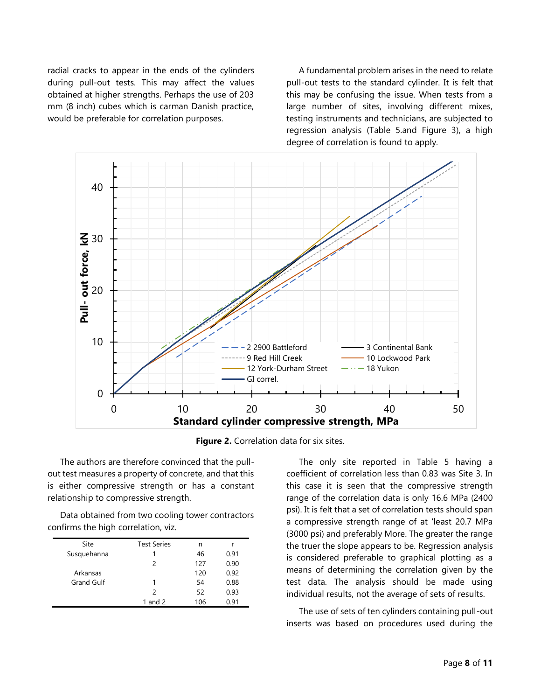radial cracks to appear in the ends of the cylinders during pull-out tests. This may affect the values obtained at higher strengths. Perhaps the use of 203 mm (8 inch) cubes which is carman Danish practice, would be preferable for correlation purposes.

A fundamental problem arises in the need to relate pull-out tests to the standard cylinder. It is felt that this may be confusing the issue. When tests from a large number of sites, involving different mixes, testing instruments and technicians, are subjected to regression analysis (Table 5.and Figure 3), a high degree of correlation is found to apply.



**Figure 2.** Correlation data for six sites.

The authors are therefore convinced that the pullout test measures a property of concrete, and that this is either compressive strength or has a constant relationship to compressive strength.

Data obtained from two cooling tower contractors confirms the high correlation, viz.

| Site              | <b>Test Series</b> | n   |      |
|-------------------|--------------------|-----|------|
| Susquehanna       |                    | 46  | 0.91 |
|                   | 2                  | 127 | 0.90 |
| Arkansas          |                    | 120 | 0.92 |
| <b>Grand Gulf</b> | 1                  | 54  | 0.88 |
|                   | $\mathcal{P}$      | 52  | 0.93 |
|                   | 1 and $2$          | 106 | 0.91 |

The only site reported in Table 5 having a coefficient of correlation less than 0.83 was Site 3. In this case it is seen that the compressive strength range of the correlation data is only 16.6 MPa (2400 psi). It is felt that a set of correlation tests should span a compressive strength range of at 'least 20.7 MPa (3000 psi) and preferably More. The greater the range the truer the slope appears to be. Regression analysis is considered preferable to graphical plotting as a means of determining the correlation given by the test data. The analysis should be made using individual results, not the average of sets of results.

The use of sets of ten cylinders containing pull-out inserts was based on procedures used during the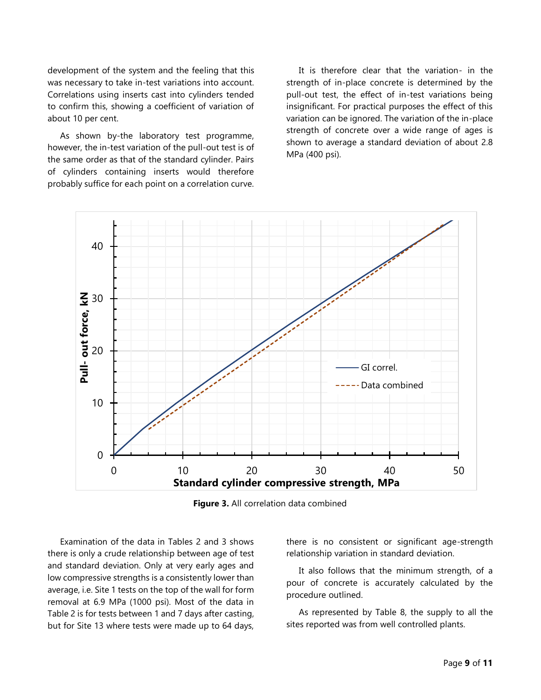development of the system and the feeling that this was necessary to take in-test variations into account. Correlations using inserts cast into cylinders tended to confirm this, showing a coefficient of variation of about 10 per cent.

As shown by-the laboratory test programme, however, the in-test variation of the pull-out test is of the same order as that of the standard cylinder. Pairs of cylinders containing inserts would therefore probably suffice for each point on a correlation curve.

It is therefore clear that the variation- in the strength of in-place concrete is determined by the pull-out test, the effect of in-test variations being insignificant. For practical purposes the effect of this variation can be ignored. The variation of the in-place strength of concrete over a wide range of ages is shown to average a standard deviation of about 2.8 MPa (400 psi).



**Figure 3.** All correlation data combined

Examination of the data in Tables 2 and 3 shows there is only a crude relationship between age of test and standard deviation. Only at very early ages and low compressive strengths is a consistently lower than average, i.e. Site 1 tests on the top of the wall for form removal at 6.9 MPa (1000 psi). Most of the data in Table 2 is for tests between 1 and 7 days after casting, but for Site 13 where tests were made up to 64 days,

there is no consistent or significant age-strength relationship variation in standard deviation.

It also follows that the minimum strength, of a pour of concrete is accurately calculated by the procedure outlined.

As represented by Table 8, the supply to all the sites reported was from well controlled plants.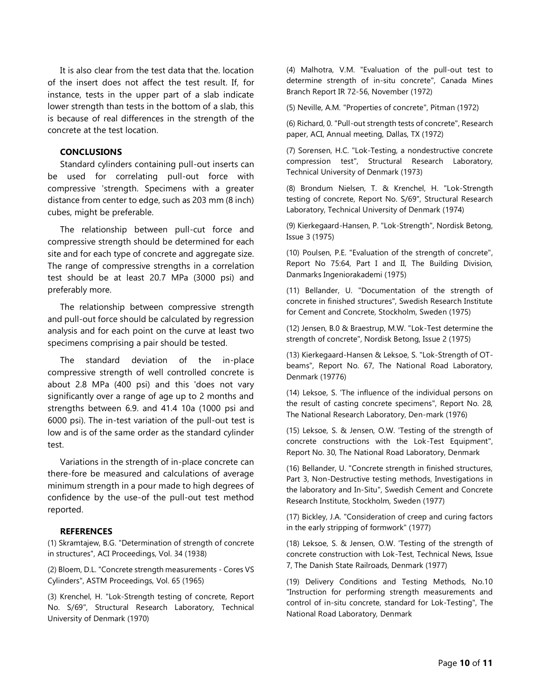It is also clear from the test data that the. location of the insert does not affect the test result. If, for instance, tests in the upper part of a slab indicate lower strength than tests in the bottom of a slab, this is because of real differences in the strength of the concrete at the test location.

### <span id="page-9-0"></span>**CONCLUSIONS**

Standard cylinders containing pull-out inserts can be used for correlating pull-out force with compressive 'strength. Specimens with a greater distance from center to edge, such as 203 mm (8 inch) cubes, might be preferable.

The relationship between pull-cut force and compressive strength should be determined for each site and for each type of concrete and aggregate size. The range of compressive strengths in a correlation test should be at least 20.7 MPa (3000 psi) and preferably more.

The relationship between compressive strength and pull-out force should be calculated by regression analysis and for each point on the curve at least two specimens comprising a pair should be tested.

The standard deviation of the in-place compressive strength of well controlled concrete is about 2.8 MPa (400 psi) and this 'does not vary significantly over a range of age up to 2 months and strengths between 6.9. and 41.4 10a (1000 psi and 6000 psi). The in-test variation of the pull-out test is low and is of the same order as the standard cylinder test.

Variations in the strength of in-place concrete can there-fore be measured and calculations of average minimum strength in a pour made to high degrees of confidence by the use-of the pull-out test method reported.

#### <span id="page-9-1"></span>**REFERENCES**

(1) Skramtajew, B.G. "Determination of strength of concrete in structures", ACI Proceedings, Vol. 34 (1938)

(2) Bloem, D.L. "Concrete strength measurements - Cores VS Cylinders", ASTM Proceedings, Vol. 65 (1965)

(3) Krenchel, H. "Lok-Strength testing of concrete, Report No. S/69", Structural Research Laboratory, Technical University of Denmark (1970)

(4) Malhotra, V.M. "Evaluation of the pull-out test to determine strength of in-situ concrete", Canada Mines Branch Report IR 72-56, November (1972)

(5) Neville, A.M. "Properties of concrete", Pitman (1972)

(6) Richard, 0. "Pull-out strength tests of concrete", Research paper, ACI, Annual meeting, Dallas, TX (1972)

(7) Sorensen, H.C. "Lok-Testing, a nondestructive concrete compression test", Structural Research Laboratory, Technical University of Denmark (1973)

(8) Brondum Nielsen, T. & Krenchel, H. "Lok-Strength testing of concrete, Report No. S/69", Structural Research Laboratory, Technical University of Denmark (1974)

(9) Kierkegaard-Hansen, P. "Lok-Strength", Nordisk Betong, Issue 3 (1975)

(10) Poulsen, P.E. "Evaluation of the strength of concrete", Report No 75:64, Part I and II, The Building Division, Danmarks Ingeniorakademi (1975)

(11) Bellander, U. "Documentation of the strength of concrete in finished structures", Swedish Research Institute for Cement and Concrete, Stockholm, Sweden (1975)

(12) Jensen, B.0 & Braestrup, M.W. "Lok-Test determine the strength of concrete", Nordisk Betong, Issue 2 (1975)

(13) Kierkegaard-Hansen & Leksoe, S. "Lok-Strength of OTbeams", Report No. 67, The National Road Laboratory, Denmark (19776)

(14) Leksoe, S. 'The influence of the individual persons on the result of casting concrete specimens", Report No. 28, The National Research Laboratory, Den-mark (1976)

(15) Leksoe, S. & Jensen, O.W. 'Testing of the strength of concrete constructions with the Lok-Test Equipment", Report No. 30, The National Road Laboratory, Denmark

(16) Bellander, U. "Concrete strength in finished structures, Part 3, Non-Destructive testing methods, Investigations in the laboratory and In-Situ", Swedish Cement and Concrete Research Institute, Stockholm, Sweden (1977)

(17) Bickley, J.A. "Consideration of creep and curing factors in the early stripping of formwork" (1977)

(18) Leksoe, S. & Jensen, O.W. 'Testing of the strength of concrete construction with Lok-Test, Technical News, Issue 7, The Danish State Railroads, Denmark (1977)

(19) Delivery Conditions and Testing Methods, No.10 "Instruction for performing strength measurements and control of in-situ concrete, standard for Lok-Testing", The National Road Laboratory, Denmark